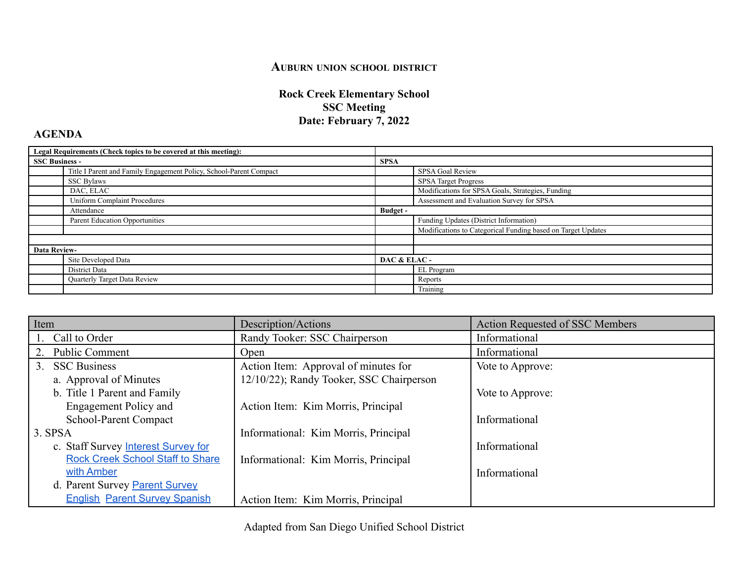## **AUBURN UNION SCHOOL DISTRICT**

## **Rock Creek Elementary School SSC Meeting Date: February 7, 2022**

## **AGENDA**

| Legal Requirements (Check topics to be covered at this meeting): |                                                                    |              |                                                              |
|------------------------------------------------------------------|--------------------------------------------------------------------|--------------|--------------------------------------------------------------|
| <b>SSC Business -</b>                                            |                                                                    | <b>SPSA</b>  |                                                              |
|                                                                  | Title I Parent and Family Engagement Policy, School-Parent Compact |              | SPSA Goal Review                                             |
|                                                                  | SSC Bylaws                                                         |              | <b>SPSA Target Progress</b>                                  |
|                                                                  | DAC, ELAC                                                          |              | Modifications for SPSA Goals, Strategies, Funding            |
|                                                                  | <b>Uniform Complaint Procedures</b>                                |              | Assessment and Evaluation Survey for SPSA                    |
|                                                                  | Attendance                                                         | Budget -     |                                                              |
|                                                                  | Parent Education Opportunities                                     |              | Funding Updates (District Information)                       |
|                                                                  |                                                                    |              | Modifications to Categorical Funding based on Target Updates |
|                                                                  |                                                                    |              |                                                              |
| <b>Data Review-</b>                                              |                                                                    |              |                                                              |
|                                                                  | Site Developed Data                                                | DAC & ELAC - |                                                              |
|                                                                  | District Data                                                      |              | EL Program                                                   |
|                                                                  | Quarterly Target Data Review                                       |              | Reports                                                      |
|                                                                  |                                                                    |              | Training                                                     |

| Item                                    | Description/Actions                      | <b>Action Requested of SSC Members</b> |
|-----------------------------------------|------------------------------------------|----------------------------------------|
| Call to Order                           | Randy Tooker: SSC Chairperson            | Informational                          |
| <b>Public Comment</b><br>2.             | Open                                     | Informational                          |
| <b>SSC Business</b><br>3 <sub>1</sub>   | Action Item: Approval of minutes for     | Vote to Approve:                       |
| a. Approval of Minutes                  | 12/10/22); Randy Tooker, SSC Chairperson |                                        |
| b. Title 1 Parent and Family            |                                          | Vote to Approve:                       |
| <b>Engagement Policy and</b>            | Action Item: Kim Morris, Principal       |                                        |
| School-Parent Compact                   |                                          | Informational                          |
| $3.$ SPSA                               | Informational: Kim Morris, Principal     |                                        |
| c. Staff Survey Interest Survey for     |                                          | Informational                          |
| <b>Rock Creek School Staff to Share</b> | Informational: Kim Morris, Principal     |                                        |
| with Amber                              |                                          | Informational                          |
| d. Parent Survey Parent Survey          |                                          |                                        |
| <b>English Parent Survey Spanish</b>    | Action Item: Kim Morris, Principal       |                                        |

Adapted from San Diego Unified School District